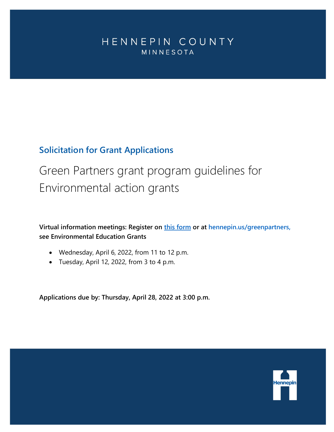## <span id="page-0-0"></span>HENNEPIN COUNTY MINNESOTA

## **Solicitation for Grant Applications**

# Green Partners grant program guidelines for Environmental action grants

**Virtual information meetings: Register on [this form](https://forms.office.com/Pages/ResponsePage.aspx?id=n9_vioCHv0aPt0ySRlOovvRCljha6UNCuk6P8wNbGh9UNkEyMFBRME5IN0FRQzBLQ1RUMjFaUlRWUS4u) or at hennepin.us/greenpartners, see Environmental Education Grants**

- Wednesday, April 6, 2022, from 11 to 12 p.m.
- Tuesday, April 12, 2022, from 3 to 4 p.m.

**Applications due by: Thursday, April 28, 2022 at 3:00 p.m.**

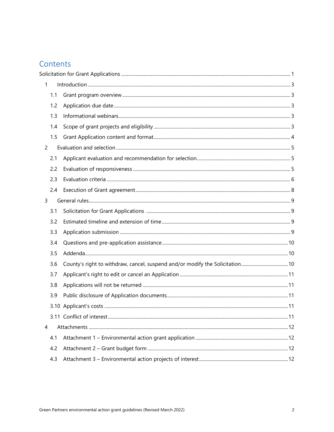## Contents

| 1              |     |                                                                              |  |  |  |
|----------------|-----|------------------------------------------------------------------------------|--|--|--|
|                | 1.1 |                                                                              |  |  |  |
|                | 1.2 |                                                                              |  |  |  |
|                | 1.3 |                                                                              |  |  |  |
|                | 1.4 |                                                                              |  |  |  |
|                | 1.5 |                                                                              |  |  |  |
| $\overline{2}$ |     |                                                                              |  |  |  |
|                | 2.1 |                                                                              |  |  |  |
|                | 2.2 |                                                                              |  |  |  |
|                | 2.3 |                                                                              |  |  |  |
|                | 2.4 |                                                                              |  |  |  |
| 3              |     |                                                                              |  |  |  |
|                | 3.1 |                                                                              |  |  |  |
|                | 3.2 |                                                                              |  |  |  |
|                | 3.3 |                                                                              |  |  |  |
|                | 3.4 |                                                                              |  |  |  |
|                | 3.5 |                                                                              |  |  |  |
|                | 3.6 | County's right to withdraw, cancel, suspend and/or modify the Solicitation10 |  |  |  |
|                | 3.7 |                                                                              |  |  |  |
|                | 3.8 |                                                                              |  |  |  |
|                | 3.9 |                                                                              |  |  |  |
|                |     |                                                                              |  |  |  |
|                |     |                                                                              |  |  |  |
| 4              |     |                                                                              |  |  |  |
|                | 4.1 |                                                                              |  |  |  |
|                | 4.2 |                                                                              |  |  |  |
|                | 4.3 |                                                                              |  |  |  |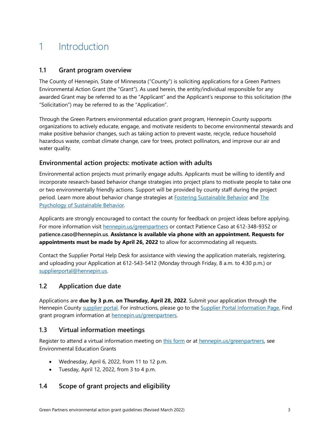## <span id="page-2-0"></span>1 Introduction

### <span id="page-2-1"></span>**1.1 Grant program overview**

The County of Hennepin, State of Minnesota ("County") is soliciting applications for a Green Partners Environmental Action Grant (the "Grant"). As used herein, the entity/individual responsible for any awarded Grant may be referred to as the "Applicant" and the Applicant's response to this solicitation (the "Solicitation") may be referred to as the "Application".

Through the Green Partners environmental education grant program, Hennepin County supports organizations to actively educate, engage, and motivate residents to become environmental stewards and make positive behavior changes, such as taking action to prevent waste, recycle, reduce household hazardous waste, combat climate change, care for trees, protect pollinators, and improve our air and water quality.

## **Environmental action projects: motivate action with adults**

Environmental action projects must primarily engage adults. Applicants must be willing to identify and incorporate research-based behavior change strategies into project plans to motivate people to take one or two environmentally friendly actions. Support will be provided by county staff during the project period. Learn more about behavior change strategies at [Fostering Sustainable Behavior](https://cbsm.com/) and [The](http://www.pca.state.mn.us/index.php/view-document.html?gid=12949)  [Psychology of Sustainable Behavior.](http://www.pca.state.mn.us/index.php/view-document.html?gid=12949) 

Applicants are strongly encouraged to contact the county for feedback on project ideas before applying. For more information visit [hennepin.us/greenpartners](http://www.hennepin.us/greenpartners) or contact Patience Caso at 612-348-9352 or **patience.caso@hennepin.us**. **Assistance is available via phone with an appointment. Requests for appointments must be made by April 26, 2022** to allow for accommodating all requests.

<span id="page-2-2"></span>Contact the Supplier Portal Help Desk for assistance with viewing the application materials, registering, and uploading your Application at 612-543-5412 (Monday through Friday, 8 a.m. to 4:30 p.m.) or [supplierportal@hennepin.us.](mailto:supplierportal@hennepin.us)

## **1.2 Application due date**

Applications are **due by 3 p.m. on Thursday, April 28, 2022**. Submit your application through the Hennepin County [supplier portal.](https://supplier.hennepin.us/psp/fprd/SUPPLIER/ERP/h/?tab=HC_SUPPLIER_PUBLIC) For instructions, please go to the [Supplier Portal Information Page.](http://www.hennepin.us/business/work-with-henn-co/supplier-portal) Find grant program information at **hennepin.us/greenpartners**.

## <span id="page-2-3"></span>**1.3 Virtual information meetings**

Register to attend a virtual information meeting on [this form](https://forms.office.com/Pages/ResponsePage.aspx?id=n9_vioCHv0aPt0ySRlOovvRCljha6UNCuk6P8wNbGh9UNkEyMFBRME5IN0FRQzBLQ1RUMjFaUlRWUS4u) or at [hennepin.us/greenpartners,](http://www.hennepin.us/greenpartners) see Environmental Education Grants

- Wednesday, April 6, 2022, from 11 to 12 p.m.
- Tuesday, April 12, 2022, from 3 to 4 p.m.

## <span id="page-2-4"></span>**1.4 Scope of grant projects and eligibility**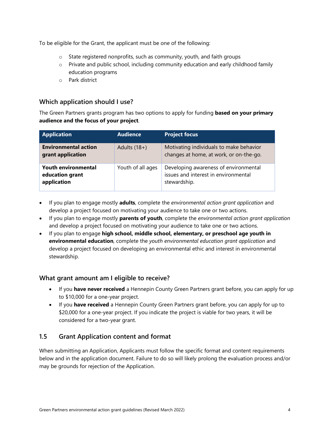To be eligible for the Grant, the applicant must be one of the following:

- o State registered nonprofits, such as community, youth, and faith groups
- $\circ$  Private and public school, including community education and early childhood family education programs
- o Park district

## **Which application should I use?**

The Green Partners grants program has two options to apply for funding **based on your primary audience and the focus of your project**.

| <b>Application</b>                                           | <b>Audience</b>   | <b>Project focus</b>                                                                          |
|--------------------------------------------------------------|-------------------|-----------------------------------------------------------------------------------------------|
| <b>Environmental action</b><br>grant application             | Adults $(18+)$    | Motivating individuals to make behavior<br>changes at home, at work, or on-the-go.            |
| <b>Youth environmental</b><br>education grant<br>application | Youth of all ages | Developing awareness of environmental<br>issues and interest in environmental<br>stewardship. |

- If you plan to engage mostly **adults**, complete the *environmental action grant application* and develop a project focused on motivating your audience to take one or two actions.
- If you plan to engage mostly **parents of youth**, complete the *environmental action grant application* and develop a project focused on motivating your audience to take one or two actions.
- If you plan to engage **high school, middle school, elementary, or preschool age youth in environmental education**, complete the *youth environmental education grant application* and develop a project focused on developing an environmental ethic and interest in environmental stewardship.

## **What grant amount am I eligible to receive?**

- If you **have never received** a Hennepin County Green Partners grant before, you can apply for up to \$10,000 for a one-year project.
- If you **have received** a Hennepin County Green Partners grant before, you can apply for up to \$20,000 for a one-year project. If you indicate the project is viable for two years, it will be considered for a two-year grant.

## <span id="page-3-0"></span>**1.5 Grant Application content and format**

When submitting an Application, Applicants must follow the specific format and content requirements below and in the application document. Failure to do so will likely prolong the evaluation process and/or may be grounds for rejection of the Application.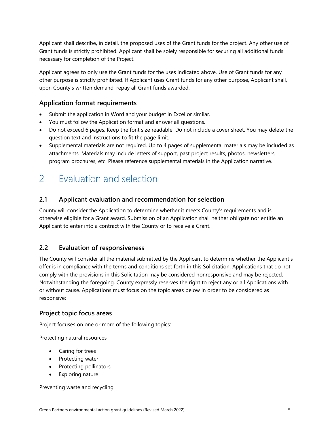Applicant shall describe, in detail, the proposed uses of the Grant funds for the project. Any other use of Grant funds is strictly prohibited. Applicant shall be solely responsible for securing all additional funds necessary for completion of the Project.

Applicant agrees to only use the Grant funds for the uses indicated above. Use of Grant funds for any other purpose is strictly prohibited. If Applicant uses Grant funds for any other purpose, Applicant shall, upon County's written demand, repay all Grant funds awarded.

## **Application format requirements**

- Submit the application in Word and your budget in Excel or similar.
- You must follow the Application format and answer all questions.
- Do not exceed 6 pages. Keep the font size readable. Do not include a cover sheet. You may delete the question text and instructions to fit the page limit.
- Supplemental materials are not required. Up to 4 pages of supplemental materials may be included as attachments. Materials may include letters of support, past project results, photos, newsletters, program brochures, etc. Please reference supplemental materials in the Application narrative.

## <span id="page-4-0"></span>2 Evaluation and selection

## <span id="page-4-1"></span>**2.1 Applicant evaluation and recommendation for selection**

County will consider the Application to determine whether it meets County's requirements and is otherwise eligible for a Grant award. Submission of an Application shall neither obligate nor entitle an Applicant to enter into a contract with the County or to receive a Grant.

## <span id="page-4-2"></span>**2.2 Evaluation of responsiveness**

The County will consider all the material submitted by the Applicant to determine whether the Applicant's offer is in compliance with the terms and conditions set forth in this Solicitation. Applications that do not comply with the provisions in this Solicitation may be considered nonresponsive and may be rejected. Notwithstanding the foregoing, County expressly reserves the right to reject any or all Applications with or without cause. Applications must focus on the topic areas below in order to be considered as responsive:

#### **Project topic focus areas**

Project focuses on one or more of the following topics:

Protecting natural resources

- Caring for trees
- Protecting water
- Protecting pollinators
- Exploring nature

Preventing waste and recycling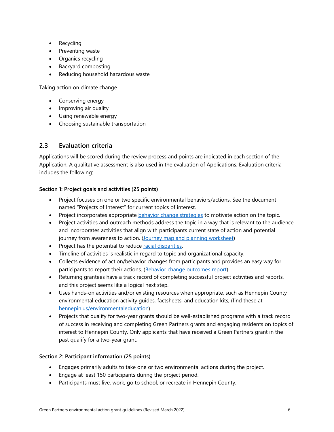- Recycling
- Preventing waste
- Organics recycling
- Backyard composting
- Reducing household hazardous waste

Taking action on climate change

- Conserving energy
- Improving air quality
- Using renewable energy
- Choosing sustainable transportation

## <span id="page-5-0"></span>**2.3 Evaluation criteria**

Applications will be scored during the review process and points are indicated in each section of the Application. A qualitative assessment is also used in the evaluation of Applications. Evaluation criteria includes the following:

#### **Section 1: Project goals and activities (25 points)**

- Project focuses on one or two specific environmental behaviors/actions. See the document named "Projects of Interest" for current topics of interest.
- Project incorporates appropriate [behavior change strategies](https://www.hennepin.us/-/media/hennepinus/business/work-with-hennepin-county/green-partners/GreenPartners_CBSM_checklist) to motivate action on the topic.
- Project activities and outreach methods address the topic in a way that is relevant to the audience and incorporates activities that align with participants current state of action and potential journey from awareness to action. [\(Journey map and planning worksheet\)](https://www.hennepin.us/-/media/hennepinus/business/work-with-hennepin-county/green-partners/journey-mapping-plan-worksheet)
- Project has the potential to reduce [racial disparities.](https://www.hennepin.us/your-government/overview/addressing-disparities-in-hennepin-county)
- Timeline of activities is realistic in regard to topic and organizational capacity.
- Collects evidence of action/behavior changes from participants and provides an easy way for participants to report their actions. [\(Behavior change outcomes report\)](https://www.hennepin.us/-/media/hennepinus/business/work-with-hennepin-county/green-partners/environmental-education-grants-outcome-reporting.pdf?la=en&hash=0336B610683F0F15C6CF9D7C70B1F39DDF508C61)
- Returning grantees have a track record of completing successful project activities and reports, and this project seems like a logical next step.
- Uses hands-on activities and/or existing resources when appropriate, such as Hennepin County environmental education activity guides, factsheets, and education kits, (find these at [hennepin.us/environmentaleducation\)](http://www.hennepin.us/environmentaleducation)
- Projects that qualify for two-year grants should be well-established programs with a track record of success in receiving and completing Green Partners grants and engaging residents on topics of interest to Hennepin County. Only applicants that have received a Green Partners grant in the past qualify for a two-year grant.

#### **Section 2: Participant information (25 points)**

- Engages primarily adults to take one or two environmental actions during the project.
- Engage at least 150 participants during the project period.
- Participants must live, work, go to school, or recreate in Hennepin County.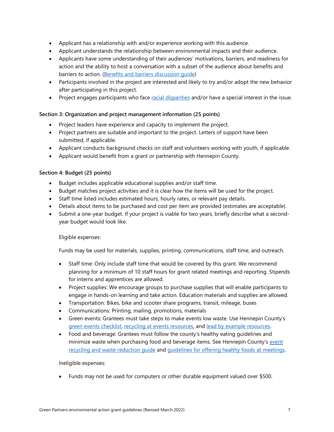- Applicant has a relationship with and/or experience working with this audience.
- Applicant understands the relationship between environmental impacts and their audience.
- Applicants have some understanding of their audiences' motivations, barriers, and readiness for action and the ability to host a conversation with a subset of the audience about benefits and barriers to action. [\(Benefits and barriers discussion guide\)](https://www.hennepin.us/-/media/hennepinus/business/work-with-hennepin-county/green-partners/benefits-and-barriers-discussion-guide)
- Participants involved in the project are interested and likely to try and/or adopt the new behavior after participating in this project.
- Project engages participants who face [racial disparities](https://www.hennepin.us/your-government/overview/addressing-disparities-in-hennepin-county) and/or have a special interest in the issue.

#### **Section 3: Organization and project management information (25 points)**

- Project leaders have experience and capacity to implement the project.
- Project partners are suitable and important to the project. Letters of support have been submitted, if applicable.
- Applicant conducts background checks on staff and volunteers working with youth, if applicable.
- Applicant would benefit from a grant or partnership with Hennepin County.

#### **Section 4: Budget (25 points)**

- Budget includes applicable educational supplies and/or staff time.
- Budget matches project activities and it is clear how the items will be used for the project.
- Staff time listed includes estimated hours, hourly rates, or relevant pay details.
- Details about items to be purchased and cost per item are provided (estimates are acceptable).
- Submit a one-year budget. If your project is viable for two years, briefly describe what a secondyear budget would look like.

#### Eligible expenses:

Funds may be used for materials, supplies, printing, communications, staff time, and outreach.

- Staff time: Only include staff time that would be covered by this grant. We recommend planning for a minimum of 10 staff hours for grant related meetings and reporting. Stipends for interns and apprentices are allowed.
- Project supplies: We encourage groups to purchase supplies that will enable participants to engage in hands-on learning and take action. Education materials and supplies are allowed.
- Transportation: Bikes, bike and scooter share programs, transit, mileage, buses
- Communications: Printing, mailing, promotions, materials
- Green events: Grantees must take steps to make events low waste. Use Hennepin County's [green events checklist,](http://www.hennepin.us/-/media/hennepinus/business/work-with-hennepin-county/environmental-education-activities/introduction-green-event-checklist.pdf?la=en) [recycling at events resources,](http://www.hennepin.us/eventrecycling) and [lead by example resources.](http://www.hennepin.us/-/media/hennepinus/business/work-with-hennepin-county/environmental-education-activities/general-greening-operations.pdf?la=en)
- Food and beverage: Grantees must follow the county's healthy eating guidelines and minimize waste when purchasing food and beverage items. See Hennepin County's event [recycling and waste reduction guide](http://www.hennepin.us/eventrecycling) and [guidelines for offering healthy foods at meetings.](http://sph.umn.edu/site/docs/degrees-programs/nutrition/SPH%20Guidelines%20for%20Offering%20Healthy%20Foods.pdf)

#### Ineligible expenses:

• Funds may not be used for computers or other durable equipment valued over \$500.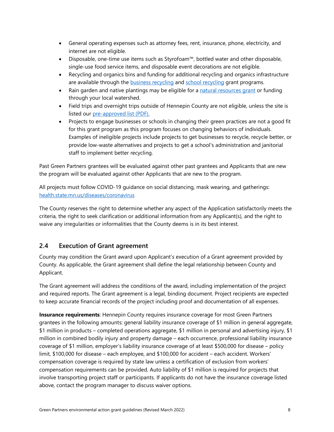- General operating expenses such as attorney fees, rent, insurance, phone, electricity, and internet are not eligible.
- Disposable, one-time use items such as Styrofoam™, bottled water and other disposable, single-use food service items, and disposable event decorations are not eligible.
- Recycling and organics bins and funding for additional recycling and organics infrastructure are available through the **business recycling and [school recycling](https://www.hennepin.us/business/recycling-hazardous-waste/school-recycling)** grant programs.
- Rain garden and native plantings may be eligible for a [natural resources grant](https://www.hennepin.us/business/conservation/funding-assistance-natural-resources-projects) or funding through your local watershed.
- Field trips and overnight trips outside of Hennepin County are not eligible, unless the site is listed our [pre-approved list \(PDF\).](https://www.hennepin.us/-/media/hennepinus/business/work-with-hennepin-county/environmental-education/pre-approved-field-trip-locations.pdf)
- Projects to engage businesses or schools in changing their green practices are not a good fit for this grant program as this program focuses on changing behaviors of individuals. Examples of ineligible projects include projects to get businesses to recycle, recycle better, or provide low-waste alternatives and projects to get a school's administration and janitorial staff to implement better recycling.

Past Green Partners grantees will be evaluated against other past grantees and Applicants that are new the program will be evaluated against other Applicants that are new to the program.

All projects must follow COVID-19 guidance on social distancing, mask wearing, and gatherings: [health.state.mn.us/diseases/coronavirus](https://www.health.state.mn.us/diseases/coronavirus/)

The County reserves the right to determine whether any aspect of the Application satisfactorily meets the criteria, the right to seek clarification or additional information from any Applicant(s), and the right to waive any irregularities or informalities that the County deems is in its best interest.

## <span id="page-7-0"></span>**2.4 Execution of Grant agreement**

County may condition the Grant award upon Applicant's execution of a Grant agreement provided by County. As applicable, the Grant agreement shall define the legal relationship between County and Applicant.

The Grant agreement will address the conditions of the award, including implementation of the project and required reports. The Grant agreement is a legal, binding document. Project recipients are expected to keep accurate financial records of the project including proof and documentation of all expenses.

**Insurance requirements**: Hennepin County requires insurance coverage for most Green Partners grantees in the following amounts: general liability insurance coverage of \$1 million in general aggregate, \$1 million in products – completed operations aggregate, \$1 million in personal and advertising injury, \$1 million in combined bodily injury and property damage – each occurrence, professional liability insurance coverage of \$1 million, employer's liability insurance coverage of at least \$500,000 for disease – policy limit, \$100,000 for disease – each employee, and \$100,000 for accident – each accident. Workers' compensation coverage is required by state law unless a certification of exclusion from workers' compensation requirements can be provided. Auto liability of \$1 million is required for projects that involve transporting project staff or participants. If applicants do not have the insurance coverage listed above, contact the program manager to discuss waiver options.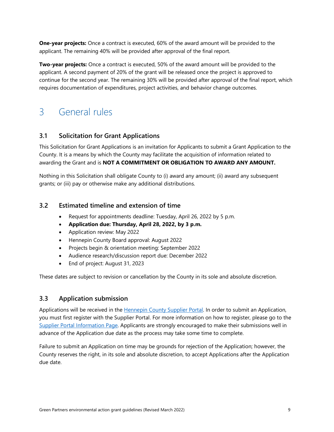**One-year projects:** Once a contract is executed, 60% of the award amount will be provided to the applicant. The remaining 40% will be provided after approval of the final report.

**Two-year projects:** Once a contract is executed, 50% of the award amount will be provided to the applicant. A second payment of 20% of the grant will be released once the project is approved to continue for the second year. The remaining 30% will be provided after approval of the final report, which requires documentation of expenditures, project activities, and behavior change outcomes.

## <span id="page-8-0"></span>3 General rules

## <span id="page-8-1"></span>**3.1 Solicitation for Grant Applications**

This Solicitation for Grant Applications is an invitation for Applicants to submit a Grant Application to the County. It is a means by which the County may facilitate the acquisition of information related to awarding the Grant and is **NOT A COMMITMENT OR OBLIGATION TO AWARD ANY AMOUNT.** 

Nothing in this Solicitation shall obligate County to (i) award any amount; (ii) award any subsequent grants; or (iii) pay or otherwise make any additional distributions.

## <span id="page-8-2"></span>**3.2 Estimated timeline and extension of time**

- Request for appointments deadline: Tuesday, April 26, 2022 by 5 p.m.
- **Application due: Thursday, April 28, 2022, by 3 p.m.**
- Application review: May 2022
- Hennepin County Board approval: August 2022
- Projects begin & orientation meeting: September 2022
- Audience research/discussion report due: December 2022
- End of project: August 31, 2023

These dates are subject to revision or cancellation by the County in its sole and absolute discretion.

## <span id="page-8-3"></span>**3.3 Application submission**

Applications will be received in the [Hennepin County Supplier Portal.](https://supplier.hennepin.us/psp/fprd/SUPPLIER/ERP/h/?tab=HC_SUPPLIER_PUBLIC) In order to submit an Application, you must first register with the Supplier Portal. For more information on how to register, please go to the [Supplier Portal Information Page.](http://www.hennepin.us/business/work-with-henn-co/supplier-portal) Applicants are strongly encouraged to make their submissions well in advance of the Application due date as the process may take some time to complete.

Failure to submit an Application on time may be grounds for rejection of the Application; however, the County reserves the right, in its sole and absolute discretion, to accept Applications after the Application due date.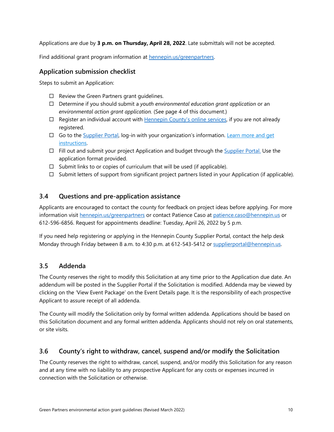Applications are due by **3 p.m. on Thursday, April 28, 2022**. Late submittals will not be accepted.

Find additional grant program information at [hennepin.us/greenpartners.](http://www.hennepin.us/greenpartners)

## **Application submission checklist**

Steps to submit an Application:

- $\Box$  Review the Green Partners grant guidelines.
- Determine if you should submit a *youth environmental education grant application* or an *environmental action grant application.* (See page 4 of this document.)
- $\Box$  Register an individual account with [Hennepin County's online services,](https://supplier.hennepin.us/psp/fprd/SUPPLIER/ERP/h/?tab=HC_SUPPLIER_PUBLIC) if you are not already registered.
- $\Box$  Go to the [Supplier Portal,](https://supplier.hennepin.us/psp/fprd/SUPPLIER/ERP/h/?tab=HC_SUPPLIER_PUBLIC) log-in with your organization's information. Learn more and get [instructions.](https://www.hennepin.us/business/work-with-henn-co/supplier-portal)
- $\Box$  Fill out and submit your project Application and budget through the [Supplier Portal.](https://supplier.hennepin.us/psp/fprd/SUPPLIER/ERP/h/?tab=HC_SUPPLIER_PUBLIC) Use the application format provided.
- $\Box$  Submit links to or copies of curriculum that will be used (if applicable).
- $\Box$  Submit letters of support from significant project partners listed in your Application (if applicable).

## <span id="page-9-0"></span>**3.4 Questions and pre-application assistance**

Applicants are encouraged to contact the county for feedback on project ideas before applying. For more information visit [hennepin.us/greenpartners](https://www.hennepin.us/greenpartners) or contact Patience Caso at [patience.caso@hennepin.us](mailto:patience.caso@hennepin.us) or 612-596-6856. Request for appointments deadline: Tuesday, April 26, 2022 by 5 p.m.

If you need help registering or applying in the Hennepin County Supplier Portal, contact the help desk Monday through Friday between 8 a.m. to 4:30 p.m. at 612-543-5412 or [supplierportal@hennepin.us.](mailto:supplierportal@hennepin.us)

## <span id="page-9-1"></span>**3.5 Addenda**

The County reserves the right to modify this Solicitation at any time prior to the Application due date. An addendum will be posted in the Supplier Portal if the Solicitation is modified. Addenda may be viewed by clicking on the 'View Event Package' on the Event Details page. It is the responsibility of each prospective Applicant to assure receipt of all addenda.

The County will modify the Solicitation only by formal written addenda. Applications should be based on this Solicitation document and any formal written addenda. Applicants should not rely on oral statements, or site visits.

## <span id="page-9-2"></span>**3.6 County's right to withdraw, cancel, suspend and/or modify the Solicitation**

The County reserves the right to withdraw, cancel, suspend, and/or modify this Solicitation for any reason and at any time with no liability to any prospective Applicant for any costs or expenses incurred in connection with the Solicitation or otherwise.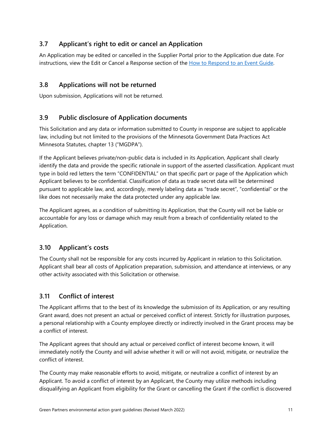## <span id="page-10-0"></span>**3.7 Applicant's right to edit or cancel an Application**

An Application may be edited or cancelled in the Supplier Portal prior to the Application due date. For instructions, view the Edit or Cancel a Response section of the [How to Respond to an](https://www.hennepin.us/-/media/hennepinus/business/work-with-hennepin-county/docs-m-z/how-to-respond-to-an-event-v4.pdf) Event Guide.

## <span id="page-10-1"></span>**3.8 Applications will not be returned**

Upon submission, Applications will not be returned.

## <span id="page-10-2"></span>**3.9 Public disclosure of Application documents**

This Solicitation and any data or information submitted to County in response are subject to applicable law, including but not limited to the provisions of the Minnesota Government Data Practices Act Minnesota Statutes, chapter 13 ("MGDPA").

If the Applicant believes private/non-public data is included in its Application, Applicant shall clearly identify the data and provide the specific rationale in support of the asserted classification. Applicant must type in bold red letters the term "CONFIDENTIAL" on that specific part or page of the Application which Applicant believes to be confidential. Classification of data as trade secret data will be determined pursuant to applicable law, and, accordingly, merely labeling data as "trade secret", "confidential" or the like does not necessarily make the data protected under any applicable law.

The Applicant agrees, as a condition of submitting its Application, that the County will not be liable or accountable for any loss or damage which may result from a breach of confidentiality related to the Application.

## <span id="page-10-3"></span>**3.10 Applicant's costs**

The County shall not be responsible for any costs incurred by Applicant in relation to this Solicitation. Applicant shall bear all costs of Application preparation, submission, and attendance at interviews, or any other activity associated with this Solicitation or otherwise.

## <span id="page-10-4"></span>**3.11 Conflict of interest**

The Applicant affirms that to the best of its knowledge the submission of its Application, or any resulting Grant award, does not present an actual or perceived conflict of interest. Strictly for illustration purposes, a personal relationship with a County employee directly or indirectly involved in the Grant process may be a conflict of interest.

The Applicant agrees that should any actual or perceived conflict of interest become known, it will immediately notify the County and will advise whether it will or will not avoid, mitigate, or neutralize the conflict of interest.

The County may make reasonable efforts to avoid, mitigate, or neutralize a conflict of interest by an Applicant. To avoid a conflict of interest by an Applicant, the County may utilize methods including disqualifying an Applicant from eligibility for the Grant or cancelling the Grant if the conflict is discovered